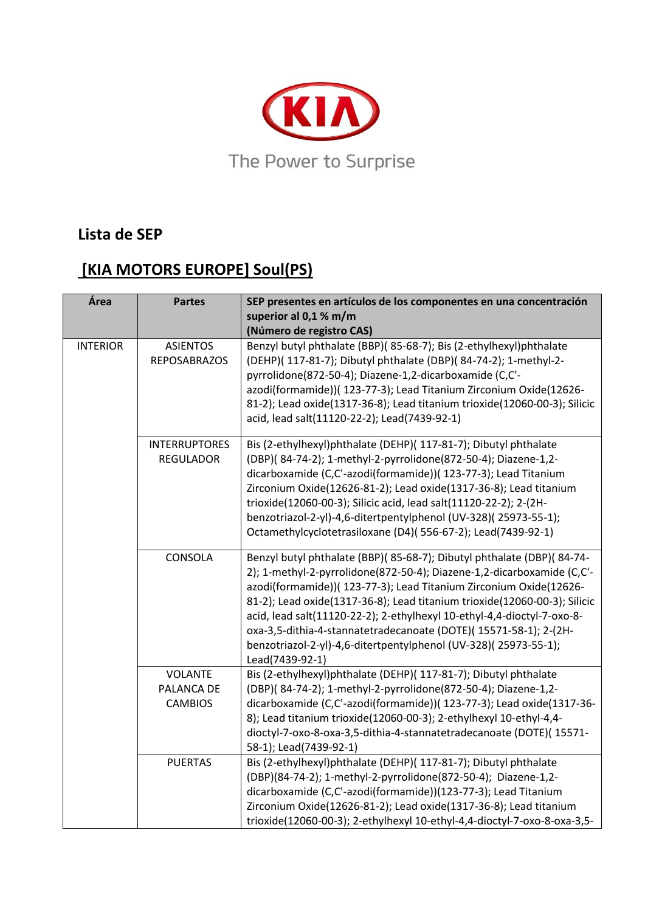

## **Lista de SEP**

## **[KIA MOTORS EUROPE] Soul(PS)**

| Área            | <b>Partes</b>                                  | SEP presentes en artículos de los componentes en una concentración<br>superior al 0,1 % m/m<br>(Número de registro CAS)                                                                                                                                                                                                                                                                                                                                                                                                                 |
|-----------------|------------------------------------------------|-----------------------------------------------------------------------------------------------------------------------------------------------------------------------------------------------------------------------------------------------------------------------------------------------------------------------------------------------------------------------------------------------------------------------------------------------------------------------------------------------------------------------------------------|
| <b>INTERIOR</b> | <b>ASIENTOS</b><br><b>REPOSABRAZOS</b>         | Benzyl butyl phthalate (BBP)( 85-68-7); Bis (2-ethylhexyl)phthalate<br>(DEHP)( 117-81-7); Dibutyl phthalate (DBP)( 84-74-2); 1-methyl-2-<br>pyrrolidone(872-50-4); Diazene-1,2-dicarboxamide (C,C'-<br>azodi(formamide))( 123-77-3); Lead Titanium Zirconium Oxide(12626-<br>81-2); Lead oxide(1317-36-8); Lead titanium trioxide(12060-00-3); Silicic<br>acid, lead salt(11120-22-2); Lead(7439-92-1)                                                                                                                                  |
|                 | <b>INTERRUPTORES</b><br><b>REGULADOR</b>       | Bis (2-ethylhexyl)phthalate (DEHP)( 117-81-7); Dibutyl phthalate<br>(DBP)(84-74-2); 1-methyl-2-pyrrolidone(872-50-4); Diazene-1,2-<br>dicarboxamide (C,C'-azodi(formamide))( 123-77-3); Lead Titanium<br>Zirconium Oxide(12626-81-2); Lead oxide(1317-36-8); Lead titanium<br>trioxide(12060-00-3); Silicic acid, lead salt(11120-22-2); 2-(2H-<br>benzotriazol-2-yl)-4,6-ditertpentylphenol (UV-328)(25973-55-1);<br>Octamethylcyclotetrasiloxane (D4)(556-67-2); Lead(7439-92-1)                                                      |
|                 | CONSOLA                                        | Benzyl butyl phthalate (BBP)(85-68-7); Dibutyl phthalate (DBP)(84-74-<br>2); 1-methyl-2-pyrrolidone(872-50-4); Diazene-1,2-dicarboxamide (C,C'-<br>azodi(formamide))( 123-77-3); Lead Titanium Zirconium Oxide(12626-<br>81-2); Lead oxide(1317-36-8); Lead titanium trioxide(12060-00-3); Silicic<br>acid, lead salt(11120-22-2); 2-ethylhexyl 10-ethyl-4,4-dioctyl-7-oxo-8-<br>oxa-3,5-dithia-4-stannatetradecanoate (DOTE)(15571-58-1); 2-(2H-<br>benzotriazol-2-yl)-4,6-ditertpentylphenol (UV-328)(25973-55-1);<br>Lead(7439-92-1) |
|                 | <b>VOLANTE</b><br>PALANCA DE<br><b>CAMBIOS</b> | Bis (2-ethylhexyl)phthalate (DEHP)( 117-81-7); Dibutyl phthalate<br>(DBP)(84-74-2); 1-methyl-2-pyrrolidone(872-50-4); Diazene-1,2-<br>dicarboxamide (C,C'-azodi(formamide))( 123-77-3); Lead oxide(1317-36-<br>8); Lead titanium trioxide(12060-00-3); 2-ethylhexyl 10-ethyl-4,4-<br>dioctyl-7-oxo-8-oxa-3,5-dithia-4-stannatetradecanoate (DOTE)(15571-<br>58-1); Lead(7439-92-1)                                                                                                                                                      |
|                 | <b>PUERTAS</b>                                 | Bis (2-ethylhexyl)phthalate (DEHP)( 117-81-7); Dibutyl phthalate<br>(DBP)(84-74-2); 1-methyl-2-pyrrolidone(872-50-4); Diazene-1,2-<br>dicarboxamide (C,C'-azodi(formamide))(123-77-3); Lead Titanium<br>Zirconium Oxide(12626-81-2); Lead oxide(1317-36-8); Lead titanium<br>trioxide(12060-00-3); 2-ethylhexyl 10-ethyl-4,4-dioctyl-7-oxo-8-oxa-3,5-                                                                                                                                                                                   |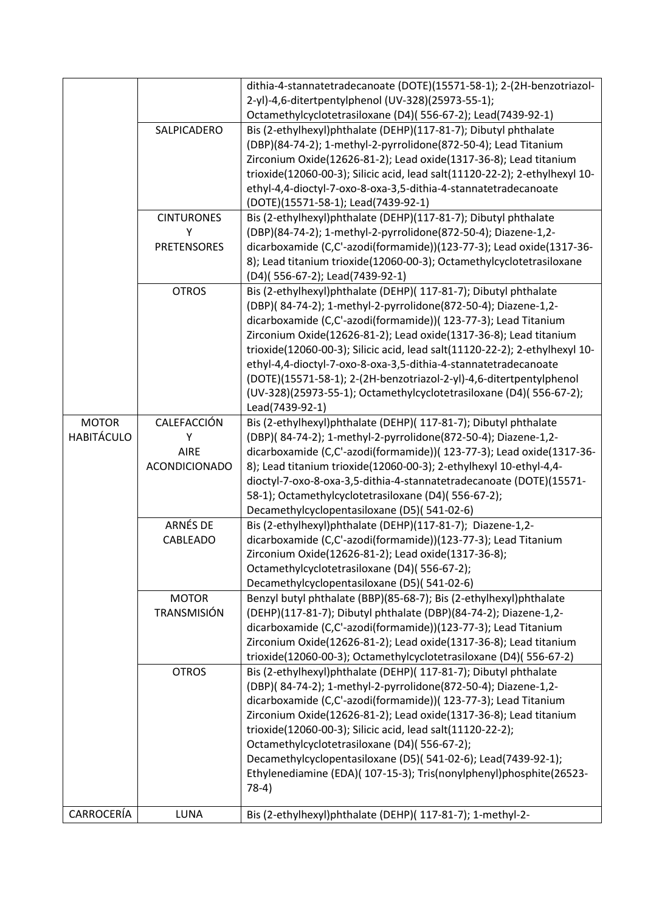|                   |                      | dithia-4-stannatetradecanoate (DOTE)(15571-58-1); 2-(2H-benzotriazol-<br>2-yl)-4,6-ditertpentylphenol (UV-328)(25973-55-1); |
|-------------------|----------------------|-----------------------------------------------------------------------------------------------------------------------------|
|                   |                      | Octamethylcyclotetrasiloxane (D4)(556-67-2); Lead(7439-92-1)                                                                |
|                   | SALPICADERO          | Bis (2-ethylhexyl)phthalate (DEHP)(117-81-7); Dibutyl phthalate                                                             |
|                   |                      | (DBP)(84-74-2); 1-methyl-2-pyrrolidone(872-50-4); Lead Titanium                                                             |
|                   |                      | Zirconium Oxide(12626-81-2); Lead oxide(1317-36-8); Lead titanium                                                           |
|                   |                      | trioxide(12060-00-3); Silicic acid, lead salt(11120-22-2); 2-ethylhexyl 10-                                                 |
|                   |                      | ethyl-4,4-dioctyl-7-oxo-8-oxa-3,5-dithia-4-stannatetradecanoate                                                             |
|                   |                      | (DOTE)(15571-58-1); Lead(7439-92-1)                                                                                         |
|                   | <b>CINTURONES</b>    | Bis (2-ethylhexyl)phthalate (DEHP)(117-81-7); Dibutyl phthalate                                                             |
|                   | Υ                    | (DBP)(84-74-2); 1-methyl-2-pyrrolidone(872-50-4); Diazene-1,2-                                                              |
|                   | <b>PRETENSORES</b>   | dicarboxamide (C,C'-azodi(formamide))(123-77-3); Lead oxide(1317-36-                                                        |
|                   |                      | 8); Lead titanium trioxide(12060-00-3); Octamethylcyclotetrasiloxane                                                        |
|                   |                      | (D4)(556-67-2); Lead(7439-92-1)                                                                                             |
|                   | <b>OTROS</b>         | Bis (2-ethylhexyl)phthalate (DEHP)( 117-81-7); Dibutyl phthalate                                                            |
|                   |                      | (DBP)(84-74-2); 1-methyl-2-pyrrolidone(872-50-4); Diazene-1,2-                                                              |
|                   |                      | dicarboxamide (C,C'-azodi(formamide))( 123-77-3); Lead Titanium                                                             |
|                   |                      | Zirconium Oxide(12626-81-2); Lead oxide(1317-36-8); Lead titanium                                                           |
|                   |                      | trioxide(12060-00-3); Silicic acid, lead salt(11120-22-2); 2-ethylhexyl 10-                                                 |
|                   |                      | ethyl-4,4-dioctyl-7-oxo-8-oxa-3,5-dithia-4-stannatetradecanoate                                                             |
|                   |                      | (DOTE)(15571-58-1); 2-(2H-benzotriazol-2-yl)-4,6-ditertpentylphenol                                                         |
|                   |                      | (UV-328)(25973-55-1); Octamethylcyclotetrasiloxane (D4)(556-67-2);                                                          |
|                   |                      | Lead(7439-92-1)                                                                                                             |
| <b>MOTOR</b>      | CALEFACCIÓN          | Bis (2-ethylhexyl)phthalate (DEHP)( 117-81-7); Dibutyl phthalate                                                            |
| <b>HABITÁCULO</b> | Υ                    | (DBP)(84-74-2); 1-methyl-2-pyrrolidone(872-50-4); Diazene-1,2-                                                              |
|                   | <b>AIRE</b>          | dicarboxamide (C,C'-azodi(formamide))( 123-77-3); Lead oxide(1317-36-                                                       |
|                   | <b>ACONDICIONADO</b> | 8); Lead titanium trioxide(12060-00-3); 2-ethylhexyl 10-ethyl-4,4-                                                          |
|                   |                      | dioctyl-7-oxo-8-oxa-3,5-dithia-4-stannatetradecanoate (DOTE)(15571-                                                         |
|                   |                      | 58-1); Octamethylcyclotetrasiloxane (D4)(556-67-2);                                                                         |
|                   |                      | Decamethylcyclopentasiloxane (D5)(541-02-6)                                                                                 |
|                   | ARNÉS DE             | Bis (2-ethylhexyl)phthalate (DEHP)(117-81-7); Diazene-1,2-                                                                  |
|                   | CABLEADO             | dicarboxamide (C,C'-azodi(formamide))(123-77-3); Lead Titanium                                                              |
|                   |                      | Zirconium Oxide(12626-81-2); Lead oxide(1317-36-8);                                                                         |
|                   |                      | Octamethylcyclotetrasiloxane (D4)(556-67-2);                                                                                |
|                   |                      | Decamethylcyclopentasiloxane (D5)(541-02-6)                                                                                 |
|                   | <b>MOTOR</b>         | Benzyl butyl phthalate (BBP)(85-68-7); Bis (2-ethylhexyl)phthalate                                                          |
|                   | <b>TRANSMISIÓN</b>   | (DEHP)(117-81-7); Dibutyl phthalate (DBP)(84-74-2); Diazene-1,2-                                                            |
|                   |                      | dicarboxamide (C,C'-azodi(formamide))(123-77-3); Lead Titanium                                                              |
|                   |                      | Zirconium Oxide(12626-81-2); Lead oxide(1317-36-8); Lead titanium                                                           |
|                   |                      | trioxide(12060-00-3); Octamethylcyclotetrasiloxane (D4)(556-67-2)                                                           |
|                   | <b>OTROS</b>         | Bis (2-ethylhexyl)phthalate (DEHP)( 117-81-7); Dibutyl phthalate                                                            |
|                   |                      | (DBP)(84-74-2); 1-methyl-2-pyrrolidone(872-50-4); Diazene-1,2-                                                              |
|                   |                      | dicarboxamide (C,C'-azodi(formamide))( 123-77-3); Lead Titanium                                                             |
|                   |                      | Zirconium Oxide(12626-81-2); Lead oxide(1317-36-8); Lead titanium                                                           |
|                   |                      | trioxide(12060-00-3); Silicic acid, lead salt(11120-22-2);                                                                  |
|                   |                      | Octamethylcyclotetrasiloxane (D4)(556-67-2);                                                                                |
|                   |                      | Decamethylcyclopentasiloxane (D5)(541-02-6); Lead(7439-92-1);                                                               |
|                   |                      | Ethylenediamine (EDA)( 107-15-3); Tris(nonylphenyl)phosphite(26523-                                                         |
|                   |                      | $78-4)$                                                                                                                     |
|                   |                      |                                                                                                                             |
| CARROCERÍA        | LUNA                 | Bis (2-ethylhexyl)phthalate (DEHP)( 117-81-7); 1-methyl-2-                                                                  |